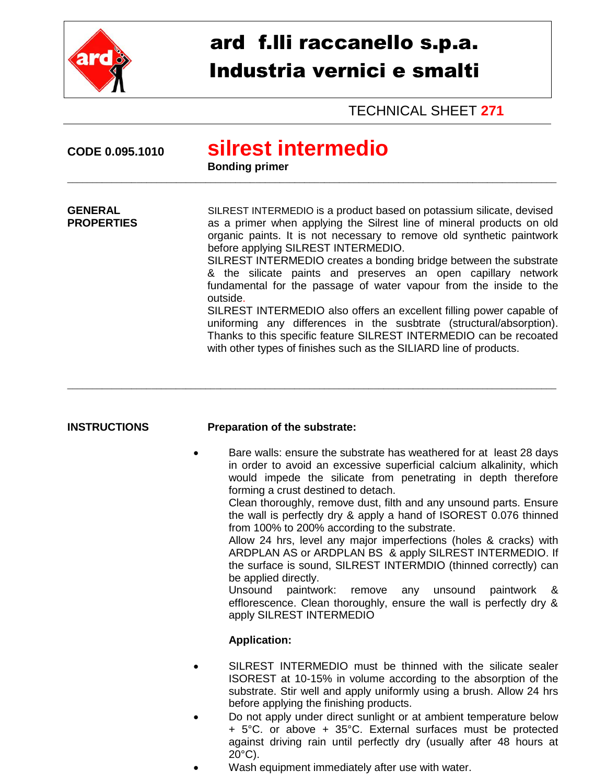

## ard f.lli raccanello s.p.a. Industria vernici e smalti

**TECHNICAL SHEET 271** 

| CODE 0.095.1010                     | silrest intermedio<br><b>Bonding primer</b>                                                                                                                                                                                                                                                                                                                                                                                                                                                                                                                                                                                           |
|-------------------------------------|---------------------------------------------------------------------------------------------------------------------------------------------------------------------------------------------------------------------------------------------------------------------------------------------------------------------------------------------------------------------------------------------------------------------------------------------------------------------------------------------------------------------------------------------------------------------------------------------------------------------------------------|
| <b>GENERAL</b><br><b>PROPERTIES</b> | SILREST INTERMEDIO is a product based on potassium silicate, devised<br>as a primer when applying the Silrest line of mineral products on old<br>organic paints. It is not necessary to remove old synthetic paintwork<br>before applying SILREST INTERMEDIO.<br>SILREST INTERMEDIO creates a bonding bridge between the substrate<br>& the silicate paints and preserves an open capillary network<br>fundamental for the passage of water vapour from the inside to the<br>outside.<br>SILREST INTERMEDIO also offers an excellent filling power capable of<br>uniforming any differences in the susbtrate (structural/absorption). |
|                                     | Thanks to this specific feature SILREST INTERMEDIO can be recoated<br>with other types of finishes such as the SILIARD line of products.                                                                                                                                                                                                                                                                                                                                                                                                                                                                                              |

## **INSTRUCTIONS** Preparation of the substrate:

Bare walls: ensure the substrate has weathered for at least 28 days in order to avoid an excessive superficial calcium alkalinity, which would impede the silicate from penetrating in depth therefore forming a crust destined to detach.

Clean thoroughly, remove dust, filth and any unsound parts. Ensure the wall is perfectly dry & apply a hand of ISOREST 0.076 thinned from 100% to 200% according to the substrate.

Allow 24 hrs, level any major imperfections (holes & cracks) with ARDPLAN AS or ARDPLAN BS & apply SILREST INTERMEDIO. If the surface is sound, SILREST INTERMDIO (thinned correctly) can be applied directly.

Unsound paintwork: any unsound remove paintwork  $\boldsymbol{\mathcal{S}}$ efflorescence. Clean thoroughly, ensure the wall is perfectly dry & apply SILREST INTERMEDIO

## **Application:**

- SILREST INTERMEDIO must be thinned with the silicate sealer ISOREST at 10-15% in volume according to the absorption of the substrate. Stir well and apply uniformly using a brush. Allow 24 hrs before applying the finishing products.
- Do not apply under direct sunlight or at ambient temperature below + 5°C. or above + 35°C. External surfaces must be protected against driving rain until perfectly dry (usually after 48 hours at  $20^{\circ}$ C).
- Wash equipment immediately after use with water.